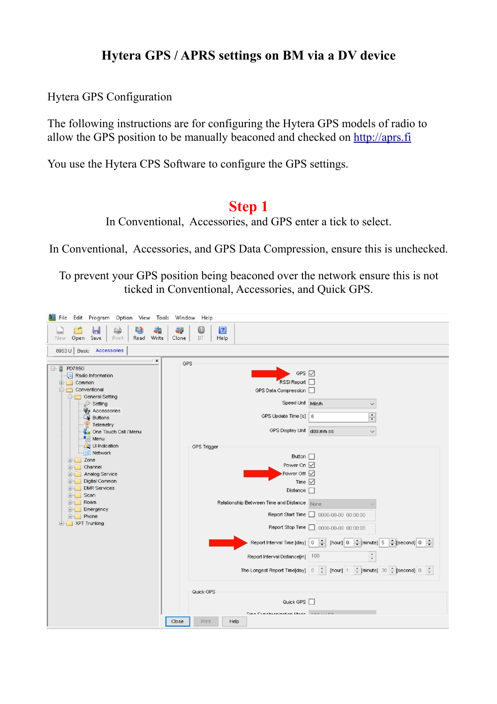## **Hytera GPS / APRS settings on BM via a DV device**

Hytera GPS Configuration

The following instructions are for configuring the Hytera GPS models of radio to allow the GPS position to be manually beaconed and checked on [http://aprs.fi](http://aprs.fi/)

You use the Hytera CPS Software to configure the GPS settings.

#### **Step 1**

In Conventional, Accessories, and GPS enter a tick to select.

In Conventional, Accessories, and GPS Data Compression, ensure this is unchecked.

To prevent your GPS position being beaconed over the network ensure this is not ticked in Conventional, Accessories, and Quick GPS.

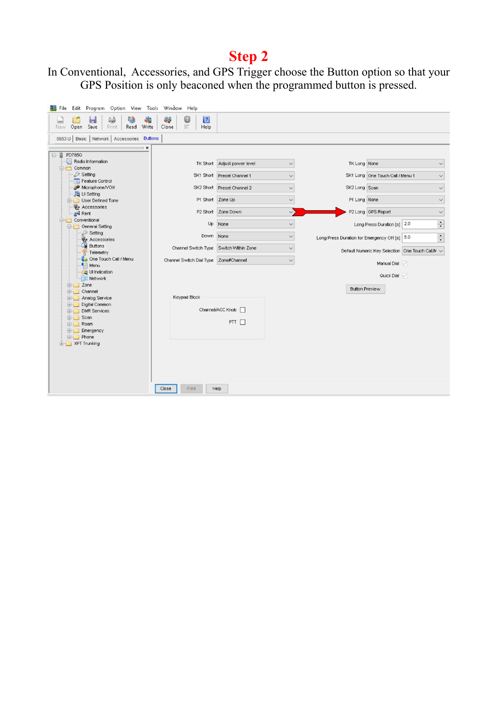In Conventional, Accessories, and GPS Trigger choose the Button option so that your GPS Position is only beaconed when the programmed button is pressed.

| File Edit Program Option View Tools Window Help                |                                                    |                             |              |                                               |                                                  |                               |
|----------------------------------------------------------------|----------------------------------------------------|-----------------------------|--------------|-----------------------------------------------|--------------------------------------------------|-------------------------------|
| (<br><b>La</b><br>ы<br>Open Save<br>Read Write<br>Print<br>New | $\vert$ ?<br>B<br>49<br><b>BT</b><br>Help<br>Clone |                             |              |                                               |                                                  |                               |
| 8953 U   Basic   Network   Accessories   Buttons               |                                                    |                             |              |                                               |                                                  |                               |
| $\pmb{\times}$                                                 |                                                    |                             |              |                                               |                                                  |                               |
| □ PD785G                                                       |                                                    |                             |              |                                               |                                                  |                               |
| Radio Information<br><b>E</b> Common                           |                                                    | TK Short Adjust power level | $\checkmark$ | TK Long None                                  |                                                  |                               |
| Setting                                                        |                                                    | SK1 Short Preset Channel 1  | $\checkmark$ |                                               | SK1 Long One Touch Call / Menu 1                 | $\checkmark$                  |
| Feature Control<br>Microphone/VOX                              |                                                    | SK2 Short Preset Channel 2  |              |                                               |                                                  |                               |
| . 凹 Setting                                                    |                                                    |                             | $\checkmark$ | SK2 Long Scan                                 |                                                  | $\checkmark$                  |
| User Defined Tone                                              | P1 Short Zone Up                                   |                             | $\checkmark$ | P1 Long None                                  |                                                  | $\checkmark$                  |
| Accessories<br>all Rent                                        |                                                    | P2 Short Zone Down          | $\vee$       |                                               | P2 Long GPS Report                               | $\checkmark$                  |
| <b>E</b> Conventional<br><b>General Setting</b>                | Up                                                 | None                        | $\checkmark$ |                                               | Long Press Duration [s] 2.0                      | $\stackrel{\bullet}{\bullet}$ |
| Setting<br>Accessories                                         | Down None                                          |                             | $\checkmark$ | Long Press Duration for Emergency Off [s] 5.0 |                                                  | $\frac{1}{\tau}$              |
| <b>D</b> Buttons                                               | Channel Switch Type Switch Within Zone             |                             | $\checkmark$ |                                               | Default Numeric Key Selection One Touch Call/M v |                               |
| Telemetry<br>Ca One Touch Call / Menu                          | Channel Switch Dial Type Zone#Channel              |                             | $\checkmark$ |                                               |                                                  |                               |
| $M$ = Menu                                                     |                                                    |                             |              |                                               | Manual Dial V                                    |                               |
| <b>Co</b> Ul Indication<br><b>Network</b>                      |                                                    |                             |              |                                               | Quick Dial $\sqrt{}$                             |                               |
| $E -$ Zone                                                     |                                                    |                             |              | <b>Button Preview</b>                         |                                                  |                               |
| <b>E</b> Channel                                               | Keypad Block                                       |                             |              |                                               |                                                  |                               |
| <b>E-4</b> Analog Service<br>Digital Common                    |                                                    |                             |              |                                               |                                                  |                               |
| <b>E-DMR</b> Services                                          |                                                    | Channel/ACC Knob            |              |                                               |                                                  |                               |
| <b>E</b> Scan<br><b>E</b> Roam                                 |                                                    | PTT [                       |              |                                               |                                                  |                               |
| Emergency                                                      |                                                    |                             |              |                                               |                                                  |                               |
| <b>E</b> Phone                                                 |                                                    |                             |              |                                               |                                                  |                               |
| E- XPT Trunking                                                |                                                    |                             |              |                                               |                                                  |                               |
|                                                                |                                                    |                             |              |                                               |                                                  |                               |
|                                                                |                                                    |                             |              |                                               |                                                  |                               |
|                                                                |                                                    |                             |              |                                               |                                                  |                               |
|                                                                |                                                    |                             |              |                                               |                                                  |                               |
|                                                                | Close<br>Print                                     | Help                        |              |                                               |                                                  |                               |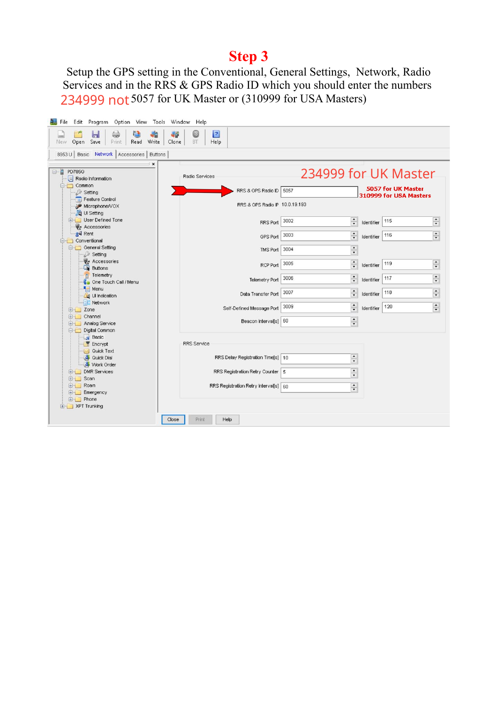Setup the GPS setting in the Conventional, General Settings, Network, Radio Services and in the RRS & GPS Radio ID which you should enter the numbers 234999 not 5057 for UK Master or (310999 for USA Masters)

| File Edit Program Option View Tools Window Help                   |                                                     |                                              |                                                                   |
|-------------------------------------------------------------------|-----------------------------------------------------|----------------------------------------------|-------------------------------------------------------------------|
| (一)<br>a<br>-2<br>ы<br>Open<br>Save<br>Print<br>Read Write<br>New | $\vert$ ?<br>63<br>49<br>Clone<br><b>BT</b><br>Help |                                              |                                                                   |
| 8953 U   Basic Network   Accessories   Buttons                    |                                                     |                                              |                                                                   |
| $\pmb{\times}$<br>□ PD785G<br>Radio Information                   | Radio Services                                      |                                              | 234999 for UK Master                                              |
| <b>E</b> Common<br>Setting                                        | RRS & GPS Radio ID 5057                             |                                              | 5057 for UK Master<br>310999 for USA Masters                      |
| Feature Control<br>Microphone/VOX<br>Li <sup>9</sup> Ul Setting   | RRS & GPS Radio IP 10.0.19.193                      |                                              |                                                                   |
| <b>E- User Defined Tone</b><br><b>C</b> e Accessories             | RRS Port                                            | $\frac{\bullet}{\bullet}$<br>3002            | $\div$<br>115<br>Identifier                                       |
| all Rent<br><b>E</b> Conventional                                 | GPS Port 3003                                       | $\frac{\bullet}{\bullet}$                    | $\div$<br>116<br>Identifier                                       |
| <b>E-C</b> General Setting<br>Setting                             | TMS Port 3004                                       | $\blacktriangle$<br>$\overline{\phantom{a}}$ |                                                                   |
| Accessories<br><b>Buttons</b>                                     | RCP Port                                            | $\ddot{\cdot}$<br>3005                       | $\blacktriangle$<br>119<br>Identifier<br>$\blacktriangledown$     |
| Telemetry<br>Ca One Touch Call / Menu                             | Telemetry Port                                      | $\div$<br>3006                               | $\frac{1}{\tau}$<br>117<br>Identifier                             |
| Menu<br>Ul Indication                                             | Data Transfer Port                                  | $\frac{\bullet}{\bullet}$<br>3007            | $\blacktriangle$<br>118<br>Identifier<br>$\overline{\phantom{a}}$ |
| <b>Network</b><br><b>E-C</b> Zone                                 | Self-Defined Message Port                           | $\frac{1}{\tau}$<br>3009                     | $\frac{1}{\tau}$<br>120<br>Identifier                             |
| <b>E-Channel</b><br><b>E-</b> Analog Service<br>Digital Common    | Beacon Interval[s] 60                               | $\ddot{\cdot}$                               |                                                                   |
| Basic<br>Encrypt                                                  | <b>RRS</b> Service                                  |                                              |                                                                   |
| <b>D-4</b> Quick Text<br><b>S</b> Quick Dial<br>Work Order        | RRS Delay Registration Time[s]   10                 | $\ddot{\cdot}$                               |                                                                   |
| <b>E-</b> DMR Services<br><b>E-C</b> Scan                         | RRS Registration Retry Counter 5                    | $\blacktriangle$<br>$\blacktriangledown$     |                                                                   |
| <b>E-C</b> Roam<br>Emergency                                      | RRS Registration Retry Interval[s] 60               | $\frac{1}{\tau}$                             |                                                                   |
| <b>E-1</b> Phone<br>E-1 XPT Trunking                              |                                                     |                                              |                                                                   |
|                                                                   | Print<br>Help<br>Close                              |                                              |                                                                   |
|                                                                   |                                                     |                                              |                                                                   |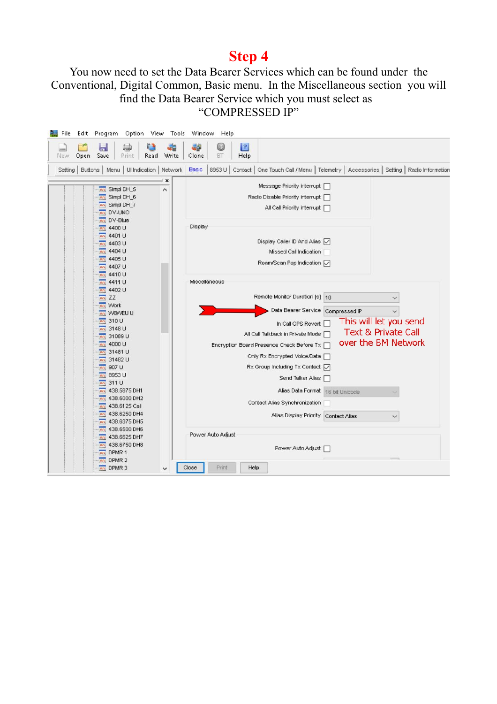#### You now need to set the Data Bearer Services which can be found under the Conventional, Digital Common, Basic menu. In the Miscellaneous section you will find the Data Bearer Service which you must select as "COMPRESSED IP"

| Edit Program Option View Tools Window Help<br>(پ<br>72<br>ы<br>Save<br>Write<br>Open<br>Read<br>Print<br>New             | $\vert$ 2 $\vert$<br>49<br>Bò<br>Clone<br>BT<br>Help                                                                                                                                    |
|--------------------------------------------------------------------------------------------------------------------------|-----------------------------------------------------------------------------------------------------------------------------------------------------------------------------------------|
|                                                                                                                          | Setting   Buttons   Menu   Ul Indication   Network   Basic   8953 U   Contact   One Touch Call / Menu   Telemetry   Accessories   Setting   Radio Information                           |
| $\pmb{\times}$<br>nn Simpl DH_5<br>$\overline{\phantom{a}}$<br>nn Simpl DH_6<br>nn Simpl DH_7<br>an DV-UNO<br>an DV-Blue | Message Priority Interrupt<br>Radio Disable Priority Interrupt  <br>All Call Priority Interrupt                                                                                         |
| 4400 U<br><b>nn</b><br>nn 4401 U<br>nn 4403 U<br>m 4404 U<br>m 4405 U<br>nn 4407 U                                       | Display<br>Display Caller ID And Alias V<br>Missed Call Indication<br>Roam/Scan Pop Indication √                                                                                        |
| nn 4410 U<br><b>M</b> 4411 U<br>nn 4402 U<br>$nn$ ZZ<br><b>An</b> Work                                                   | Miscellaneous<br>Remote Monitor Duration [s] 10<br>Data Bearer Service<br>Compressed IP                                                                                                 |
| An W8WEU U<br>$m$ 310 U<br><b>Mr</b> 3148 U<br>nn 31089 U<br>nn 4000 U                                                   | This will let you send<br>In Call GPS Revert<br><b>Text &amp; Private Call</b><br>All Call Talkback in Private Mode<br>over the BM Network<br>Encryption Board Presence Check Before Tx |
| m 31481 U<br>nn 31482 U<br>nn 907 U<br>m 8953 U<br>$m$ 311 U                                                             | Only Rx Encrypted Voice/Data □<br>$Rx$ Group Including Tx Contact $\overline{\smile}$<br>Send Talker Alias                                                                              |
| m 438.5875 DH1<br>m 438,6000 DH2<br>nn 438.6125 Call<br>nn 438.6250 DH4                                                  | Alias Data Format<br>16 bit Unicode<br>Contact Alias Synchronization<br>Alias Display Priority Contact Alias                                                                            |
| m 438,6375 DH5<br>m 438.6500 DH6<br>nn 438.6625 DH7<br>438.6750 DH8<br>mm<br><b>And</b> DPMR 1                           | Power Auto Adjust<br>Power Auto Adjust                                                                                                                                                  |
| nn DPMR 2<br>An DPMR 3<br>v                                                                                              | Close<br>Print<br>Help                                                                                                                                                                  |